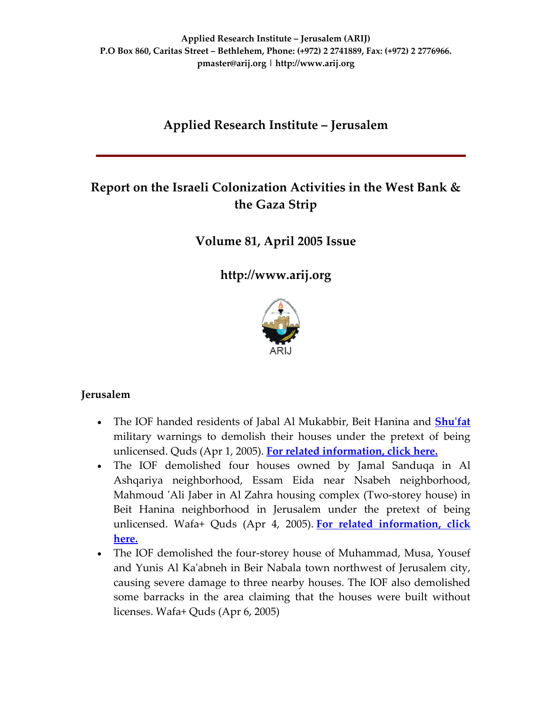# **Applied Research Institute – Jerusalem**

# **Report on the Israeli Colonization Activities in the West Bank & the Gaza Strip**

# **Volume 81, April 2005 Issue**

**[http://www.arij.org](http://www.arij.org/)**



## **Jerusalem**

- The IOF handed residents of Jabal Al Mukabbir, Beit Hanina and **[Shu](http://www.poica.org/editor/case_studies/view.php?recordID=427)ʹfat** military warnings to demolish their houses under the pretext of being unlicensed. Quds (Apr 1, 2005). **For related [information,](http://www.poica.org/editor/case_studies/view.php?recordID=556) click here.**
- The IOF demolished four houses owned by Jamal Sanduqa in Al Ashqariya neighborhood, Essam Eida near Nsabeh neighborhood, Mahmoud ʹAli Jaber in Al Zahra housing complex (Two‐storey house) in Beit Hanina neighborhood in Jerusalem under the pretext of being unlicensed. Wafa+ Quds (Apr 4, 2005). **For related [information,](http://www.poica.org/editor/case_studies/view.php?recordID=556) click [here.](http://www.poica.org/editor/case_studies/view.php?recordID=556)**
- The IOF demolished the four-storey house of Muhammad, Musa, Yousef and Yunis Al Kaʹabneh in Beir Nabala town northwest of Jerusalem city, causing severe damage to three nearby houses. The IOF also demolished some barracks in the area claiming that the houses were built without licenses. Wafa+ Quds (Apr 6, 2005)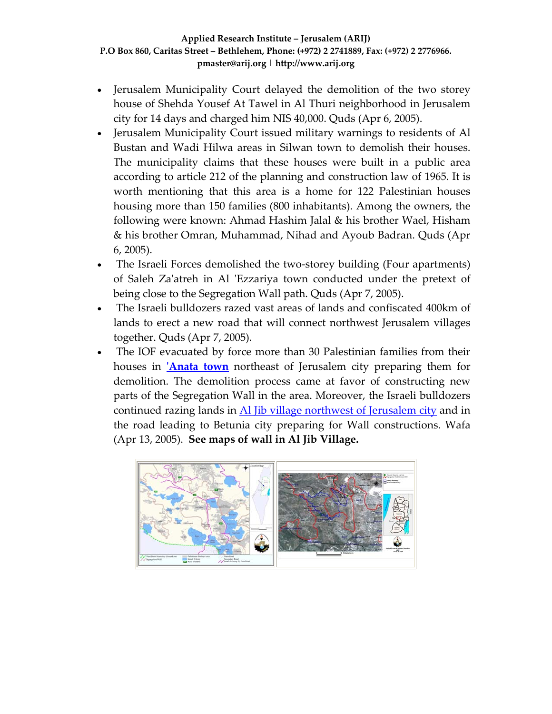- Jerusalem Municipality Court delayed the demolition of the two storey house of Shehda Yousef At Tawel in Al Thuri neighborhood in Jerusalem city for 14 days and charged him NIS 40,000. Quds (Apr 6, 2005).
- Jerusalem Municipality Court issued military warnings to residents of Al Bustan and Wadi Hilwa areas in Silwan town to demolish their houses. The municipality claims that these houses were built in a public area according to article 212 of the planning and construction law of 1965. It is worth mentioning that this area is a home for 122 Palestinian houses housing more than 150 families (800 inhabitants). Among the owners, the following were known: Ahmad Hashim Jalal & his brother Wael, Hisham & his brother Omran, Muhammad, Nihad and Ayoub Badran. Quds (Apr 6, 2005).
- The Israeli Forces demolished the two-storey building (Four apartments) of Saleh Zaʹatreh in Al ʹEzzariya town conducted under the pretext of being close to the Segregation Wall path. Quds (Apr 7, 2005).
- The Israeli bulldozers razed vast areas of lands and confiscated 400km of lands to erect a new road that will connect northwest Jerusalem villages together. Quds (Apr 7, 2005).
- The IOF evacuated by force more than 30 Palestinian families from their houses in **[Anata](http://www.poica.org/editor/case_studies/view.php?recordID=418) town** northeast of Jerusalem city preparing them for demolition. The demolition process came at favor of constructing new parts of the Segregation Wall in the area. Moreover, the Israeli bulldozers continued razing lands in Al *Jib village [northwest](http://www.poica.org/editor/case_studies/view.php?recordID=566) of Jerusalem city* and in the road leading to Betunia city preparing for Wall constructions. Wafa (Apr 13, 2005). **See maps of wall in Al Jib Village.**

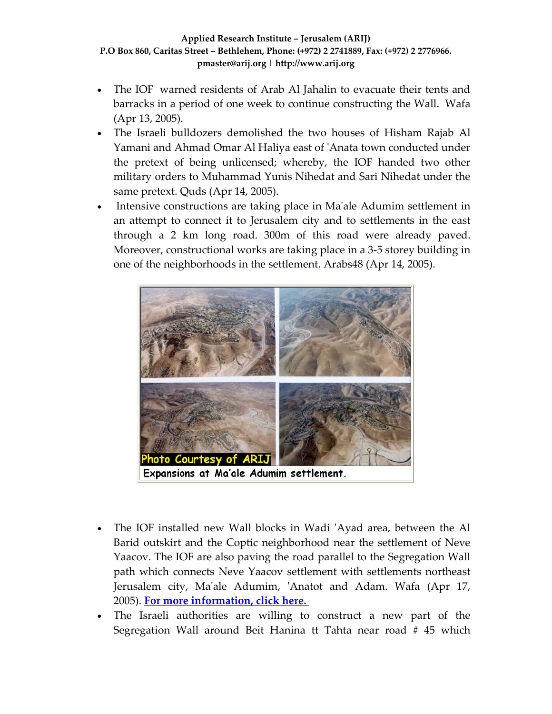- The IOF warned residents of Arab Al Jahalin to evacuate their tents and barracks in a period of one week to continue constructing the Wall. Wafa (Apr 13, 2005).
- The Israeli bulldozers demolished the two houses of Hisham Rajab Al Yamani and Ahmad Omar Al Haliya east of ʹAnata town conducted under the pretext of being unlicensed; whereby, the IOF handed two other military orders to Muhammad Yunis Nihedat and Sari Nihedat under the same pretext. Quds (Apr 14, 2005).
- Intensive constructions are taking place in Ma'ale Adumim settlement in an attempt to connect it to Jerusalem city and to settlements in the east through a 2 km long road. 300m of this road were already paved. Moreover, constructional works are taking place in a 3‐5 storey building in one of the neighborhoods in the settlement. Arabs48 (Apr 14, 2005).



- The IOF installed new Wall blocks in Wadi 'Ayad area, between the Al Barid outskirt and the Coptic neighborhood near the settlement of Neve Yaacov. The IOF are also paving the road parallel to the Segregation Wall path which connects Neve Yaacov settlement with settlements northeast Jerusalem city, Ma'ale Adumim, 'Anatot and Adam. Wafa (Apr 17, 2005). **For more [information,](http://www.poica.org/editor/case_studies/view.php?recordID=564) click here.**
- The Israeli authorities are willing to construct a new part of the Segregation Wall around Beit Hanina tt Tahta near road # 45 which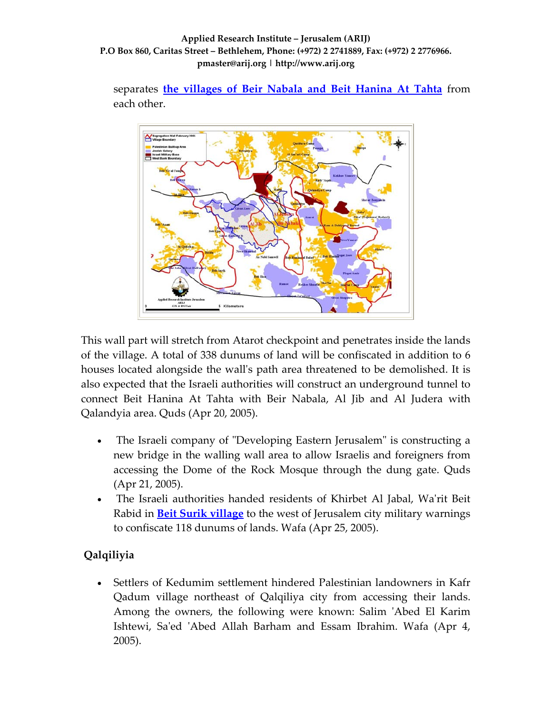separates **the [villages](http://www.poica.org/editor/case_studies/view.php?recordID=566) of Beir Nabala and Beit Hanina At Tahta** from each other.



This wall part will stretch from Atarot checkpoint and penetrates inside the lands of the village. A total of 338 dunums of land will be confiscated in addition to 6 houses located alongside the wallʹs path area threatened to be demolished. It is also expected that the Israeli authorities will construct an underground tunnel to connect Beit Hanina At Tahta with Beir Nabala, Al Jib and Al Judera with Qalandyia area. Quds (Apr 20, 2005).

- The Israeli company of "Developing Eastern Jerusalem" is constructing a new bridge in the walling wall area to allow Israelis and foreigners from accessing the Dome of the Rock Mosque through the dung gate. Quds (Apr 21, 2005).
- The Israeli authorities handed residents of Khirbet Al Jabal, Wa'rit Beit Rabid in **Beit Surik [village](http://www.poica.org/editor/case_studies/view.php?recordID=526)** to the west of Jerusalem city military warnings to confiscate 118 dunums of lands. Wafa (Apr 25, 2005).

# **Qalqiliyia**

• Settlers of Kedumim settlement hindered Palestinian landowners in Kafr Qadum village northeast of Qalqiliya city from accessing their lands. Among the owners, the following were known: Salim 'Abed El Karim Ishtewi, Sa'ed 'Abed Allah Barham and Essam Ibrahim. Wafa (Apr 4, 2005).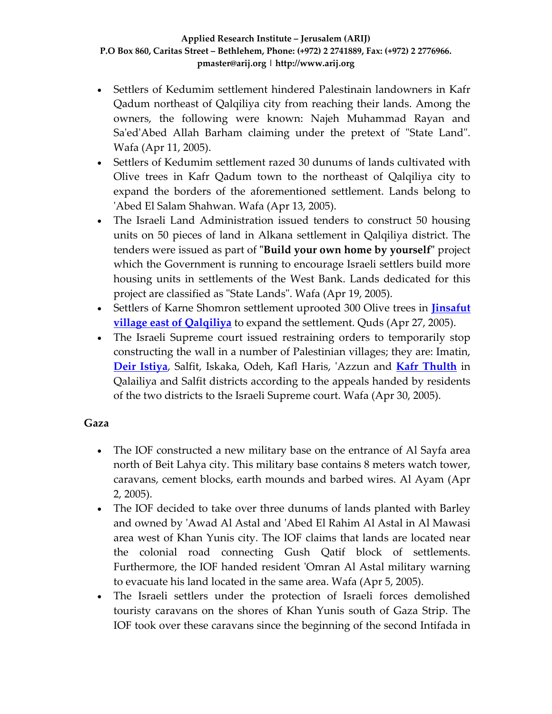- Settlers of Kedumim settlement hindered Palestinain landowners in Kafr Qadum northeast of Qalqiliya city from reaching their lands. Among the owners, the following were known: Najeh Muhammad Rayan and Sa'ed'Abed Allah Barham claiming under the pretext of "State Land". Wafa (Apr 11, 2005).
- Settlers of Kedumim settlement razed 30 dunums of lands cultivated with Olive trees in Kafr Qadum town to the northeast of Qalqiliya city to expand the borders of the aforementioned settlement. Lands belong to ʹAbed El Salam Shahwan. Wafa (Apr 13, 2005).
- The Israeli Land Administration issued tenders to construct 50 housing units on 50 pieces of land in Alkana settlement in Qalqiliya district. The **tenders were issued as part of "Build your own home by yourself" project** which the Government is running to encourage Israeli settlers build more housing units in settlements of the West Bank. Lands dedicated for this project are classified as "State Lands". Wafa (Apr 19, 2005).
- Settlers of Karne Shomron settlement uprooted 300 Olive trees in **[Jinsafut](http://www.poica.org/editor/case_studies/view.php?recordID=402) village east of [Qalqiliya](http://www.poica.org/editor/case_studies/view.php?recordID=402)** to expand the settlement. Quds (Apr 27, 2005).
- The Israeli Supreme court issued restraining orders to temporarily stop constructing the wall in a number of Palestinian villages; they are: Imatin, **Deir [Istiya](http://www.poica.org/editor/case_studies/view.php?recordID=536)**, Salfit, Iskaka, Odeh, Kafl Haris, ʹAzzun and **Kafr [Thulth](http://www.poica.org/editor/case_studies/view.php?recordID=382)** in Qalailiya and Salfit districts according to the appeals handed by residents of the two districts to the Israeli Supreme court. Wafa (Apr 30, 2005).

# **Gaza**

- The IOF constructed a new military base on the entrance of Al Sayfa area north of Beit Lahya city. This military base contains 8 meters watch tower, caravans, cement blocks, earth mounds and barbed wires. Al Ayam (Apr 2, 2005).
- The IOF decided to take over three dunums of lands planted with Barley and owned by ʹAwad Al Astal and ʹAbed El Rahim Al Astal in Al Mawasi area west of Khan Yunis city. The IOF claims that lands are located near the colonial road connecting Gush Qatif block of settlements. Furthermore, the IOF handed resident 'Omran Al Astal military warning to evacuate his land located in the same area. Wafa (Apr 5, 2005).
- The Israeli settlers under the protection of Israeli forces demolished touristy caravans on the shores of Khan Yunis south of Gaza Strip. The IOF took over these caravans since the beginning of the second Intifada in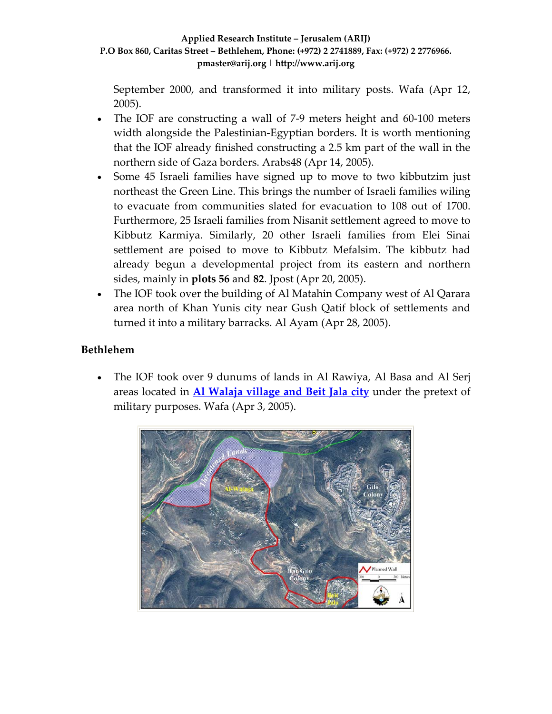September 2000, and transformed it into military posts. Wafa (Apr 12, 2005).

- The IOF are constructing a wall of 7-9 meters height and 60-100 meters width alongside the Palestinian‐Egyptian borders. It is worth mentioning that the IOF already finished constructing a 2.5 km part of the wall in the northern side of Gaza borders. Arabs48 (Apr 14, 2005).
- Some 45 Israeli families have signed up to move to two kibbutzim just northeast the Green Line. This brings the number of Israeli families wiling to evacuate from communities slated for evacuation to 108 out of 1700. Furthermore, 25 Israeli families from Nisanit settlement agreed to move to Kibbutz Karmiya. Similarly, 20 other Israeli families from Elei Sinai settlement are poised to move to Kibbutz Mefalsim. The kibbutz had already begun a developmental project from its eastern and northern sides, mainly in **plots 56** and **82**. Jpost (Apr 20, 2005).
- The IOF took over the building of Al Matahin Company west of Al Qarara area north of Khan Yunis city near Gush Qatif block of settlements and turned it into a military barracks. Al Ayam (Apr 28, 2005).

# **Bethlehem**

• The IOF took over 9 dunums of lands in Al Rawiya, Al Basa and Al Serj areas located in **Al [Walaja](http://www.poica.org/editor/case_studies/view.php?recordID=554) village and Beit Jala city** under the pretext of military purposes. Wafa (Apr 3, 2005).

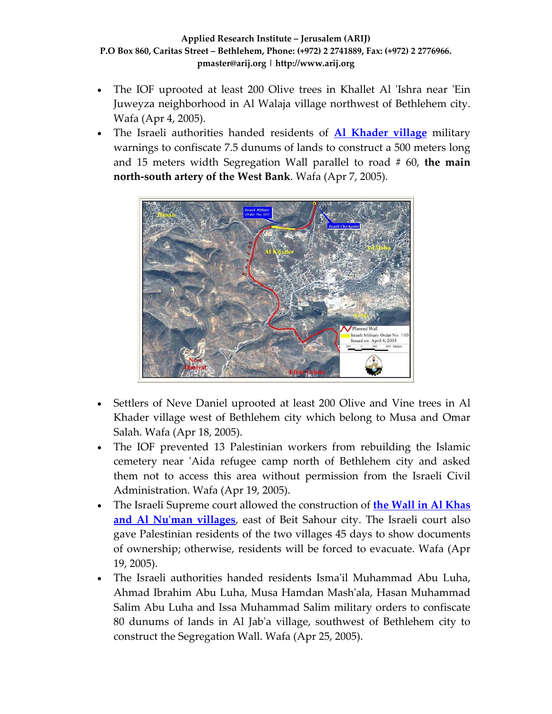- The IOF uprooted at least 200 Olive trees in Khallet Al 'Ishra near 'Ein Juweyza neighborhood in Al Walaja village northwest of Bethlehem city. Wafa (Apr 4, 2005).
- The Israeli authorities handed residents of **Al [Khader](http://www.poica.org/editor/case_studies/view.php?recordID=553) village** military warnings to confiscate 7.5 dunums of lands to construct a 500 meters long and 15 meters width Segregation Wall parallel to road # 60, **the main north‐south artery of the West Bank**. Wafa (Apr 7, 2005).



- Settlers of Neve Daniel uprooted at least 200 Olive and Vine trees in Al Khader village west of Bethlehem city which belong to Musa and Omar Salah. Wafa (Apr 18, 2005).
- The IOF prevented 13 Palestinian workers from rebuilding the Islamic cemetery near 'Aida refugee camp north of Bethlehem city and asked them not to access this area without permission from the Israeli Civil Administration. Wafa (Apr 19, 2005).
- The Israeli Supreme court allowed the construction of **the Wall in Al [Khas](http://www.poica.org/editor/case_studies/view.php?recordID=296) and Al Nuʹman [villages](http://www.poica.org/editor/case_studies/view.php?recordID=296)**, east of Beit Sahour city. The Israeli court also gave Palestinian residents of the two villages 45 days to show documents of ownership; otherwise, residents will be forced to evacuate. Wafa (Apr 19, 2005).
- The Israeli authorities handed residents Ismaʹil Muhammad Abu Luha, Ahmad Ibrahim Abu Luha, Musa Hamdan Mashʹala, Hasan Muhammad Salim Abu Luha and Issa Muhammad Salim military orders to confiscate 80 dunums of lands in Al Jabʹa village, southwest of Bethlehem city to construct the Segregation Wall. Wafa (Apr 25, 2005).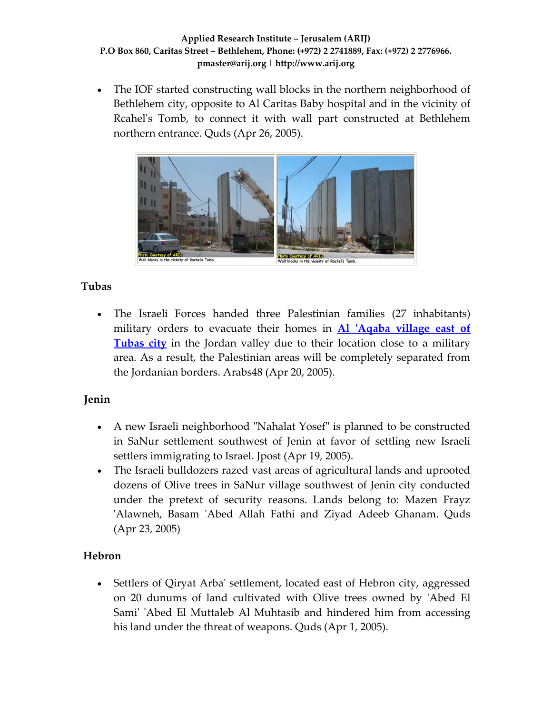• The IOF started constructing wall blocks in the northern neighborhood of Bethlehem city, opposite to Al Caritas Baby hospital and in the vicinity of Rcahel's Tomb, to connect it with wall part constructed at Bethlehem northern entrance. Quds (Apr 26, 2005).



# **Tubas**

• The Israeli Forces handed three Palestinian families (27 inhabitants) military orders to evacuate their homes in **Al ʹAqaba [village](http://www.poica.org/editor/case_studies/view.php?recordID=315) east of [Tubas](http://www.poica.org/editor/case_studies/view.php?recordID=315) city** in the Jordan valley due to their location close to a military area. As a result, the Palestinian areas will be completely separated from the Jordanian borders. Arabs48 (Apr 20, 2005).

# **Jenin**

- A new Israeli neighborhood "Nahalat Yosef" is planned to be constructed in SaNur settlement southwest of Jenin at favor of settling new Israeli settlers immigrating to Israel. Jpost (Apr 19, 2005).
- The Israeli bulldozers razed vast areas of agricultural lands and uprooted dozens of Olive trees in SaNur village southwest of Jenin city conducted under the pretext of security reasons. Lands belong to: Mazen Frayz ʹAlawneh, Basam ʹAbed Allah Fathi and Ziyad Adeeb Ghanam. Quds (Apr 23, 2005)

# **Hebron**

• Settlers of Qiryat Arba' settlement, located east of Hebron city, aggressed on 20 dunums of land cultivated with Olive trees owned by ʹAbed El Sami' 'Abed El Muttaleb Al Muhtasib and hindered him from accessing his land under the threat of weapons. Quds (Apr 1, 2005).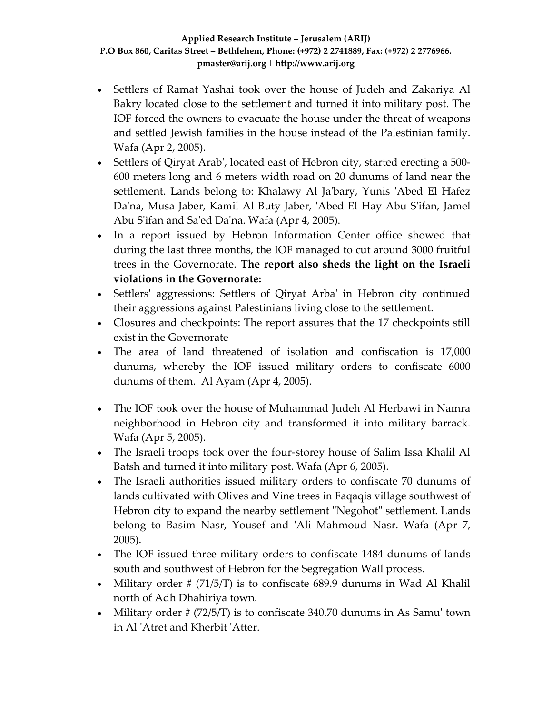- Settlers of Ramat Yashai took over the house of Judeh and Zakariya Al Bakry located close to the settlement and turned it into military post. The IOF forced the owners to evacuate the house under the threat of weapons and settled Jewish families in the house instead of the Palestinian family. Wafa (Apr 2, 2005).
- Settlers of Qiryat Arab', located east of Hebron city, started erecting a 500-600 meters long and 6 meters width road on 20 dunums of land near the settlement. Lands belong to: Khalawy Al Ja'bary, Yunis 'Abed El Hafez Da'na, Musa Jaber, Kamil Al Buty Jaber, 'Abed El Hay Abu S'ifan, Jamel Abu S'ifan and Sa'ed Da'na. Wafa (Apr 4, 2005).
- In a report issued by Hebron Information Center office showed that during the last three months, the IOF managed to cut around 3000 fruitful trees in the Governorate. **The report also sheds the light on the Israeli violations in the Governorate:**
- Settlers' aggressions: Settlers of Qiryat Arba' in Hebron city continued their aggressions against Palestinians living close to the settlement.
- Closures and checkpoints: The report assures that the 17 checkpoints still exist in the Governorate
- The area of land threatened of isolation and confiscation is 17,000 dunums, whereby the IOF issued military orders to confiscate 6000 dunums of them. Al Ayam (Apr 4, 2005).
- The IOF took over the house of Muhammad Judeh Al Herbawi in Namra neighborhood in Hebron city and transformed it into military barrack. Wafa (Apr 5, 2005).
- The Israeli troops took over the four-storey house of Salim Issa Khalil Al Batsh and turned it into military post. Wafa (Apr 6, 2005).
- The Israeli authorities issued military orders to confiscate 70 dunums of lands cultivated with Olives and Vine trees in Faqaqis village southwest of Hebron city to expand the nearby settlement "Negohot" settlement. Lands belong to Basim Nasr, Yousef and 'Ali Mahmoud Nasr. Wafa (Apr 7, 2005).
- The IOF issued three military orders to confiscate 1484 dunums of lands south and southwest of Hebron for the Segregation Wall process.
- Military order # (71/5/T) is to confiscate 689.9 dunums in Wad Al Khalil north of Adh Dhahiriya town.
- Military order  $\#$  (72/5/T) is to confiscate 340.70 dunums in As Samu' town in Al ʹAtret and Kherbit ʹAtter.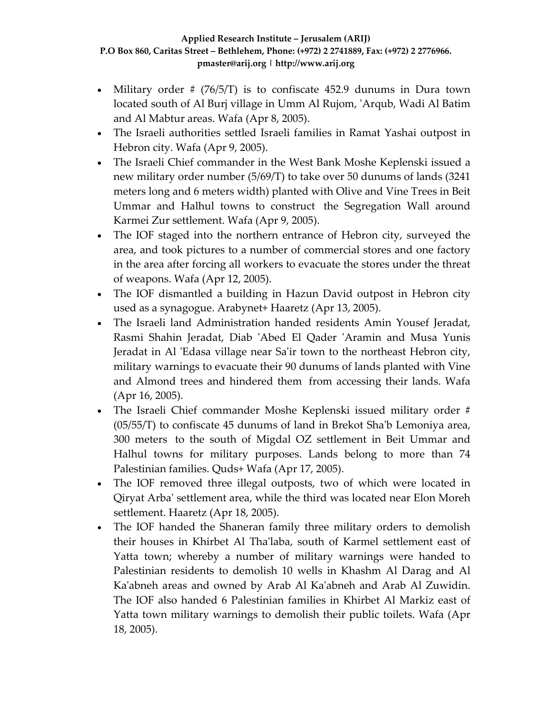- Military order  $\#$  (76/5/T) is to confiscate 452.9 dunums in Dura town located south of Al Burj village in Umm Al Rujom, ʹArqub, Wadi Al Batim and Al Mabtur areas. Wafa (Apr 8, 2005).
- The Israeli authorities settled Israeli families in Ramat Yashai outpost in Hebron city. Wafa (Apr 9, 2005).
- The Israeli Chief commander in the West Bank Moshe Keplenski issued a new military order number (5/69/T) to take over 50 dunums of lands (3241 meters long and 6 meters width) planted with Olive and Vine Trees in Beit Ummar and Halhul towns to construct the Segregation Wall around Karmei Zur settlement. Wafa (Apr 9, 2005).
- The IOF staged into the northern entrance of Hebron city, surveyed the area, and took pictures to a number of commercial stores and one factory in the area after forcing all workers to evacuate the stores under the threat of weapons. Wafa (Apr 12, 2005).
- The IOF dismantled a building in Hazun David outpost in Hebron city used as a synagogue. Arabynet+ Haaretz (Apr 13, 2005).
- The Israeli land Administration handed residents Amin Yousef Jeradat, Rasmi Shahin Jeradat, Diab ʹAbed El Qader ʹAramin and Musa Yunis Jeradat in Al 'Edasa village near Sa'ir town to the northeast Hebron city, military warnings to evacuate their 90 dunums of lands planted with Vine and Almond trees and hindered them from accessing their lands. Wafa (Apr 16, 2005).
- The Israeli Chief commander Moshe Keplenski issued military order #  $(05/55/T)$  to confiscate 45 dunums of land in Brekot Sha'b Lemoniya area, 300 meters to the south of Migdal OZ settlement in Beit Ummar and Halhul towns for military purposes. Lands belong to more than 74 Palestinian families. Quds+ Wafa (Apr 17, 2005).
- The IOF removed three illegal outposts, two of which were located in Qiryat Arbaʹ settlement area, while the third was located near Elon Moreh settlement. Haaretz (Apr 18, 2005).
- The IOF handed the Shaneran family three military orders to demolish their houses in Khirbet Al Thaʹlaba, south of Karmel settlement east of Yatta town; whereby a number of military warnings were handed to Palestinian residents to demolish 10 wells in Khashm Al Darag and Al Kaʹabneh areas and owned by Arab Al Kaʹabneh and Arab Al Zuwidin. The IOF also handed 6 Palestinian families in Khirbet Al Markiz east of Yatta town military warnings to demolish their public toilets. Wafa (Apr 18, 2005).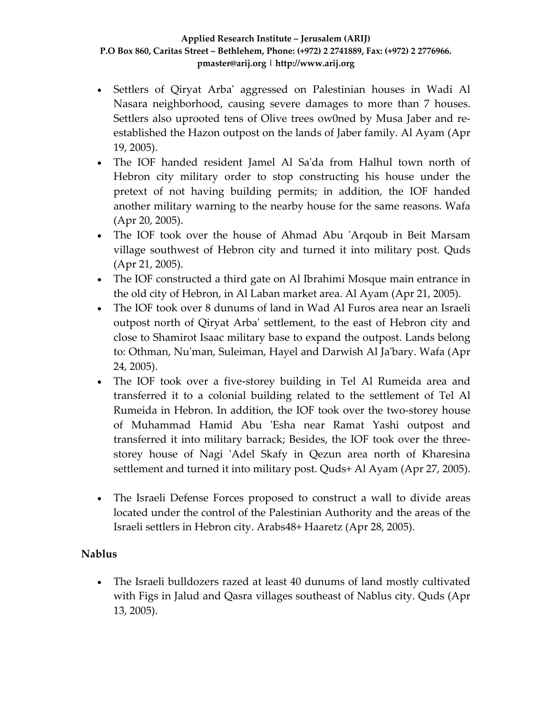- Settlers of Qiryat Arbaʹ aggressed on Palestinian houses in Wadi Al Nasara neighborhood, causing severe damages to more than 7 houses. Settlers also uprooted tens of Olive trees ow0ned by Musa Jaber and re‐ established the Hazon outpost on the lands of Jaber family. Al Ayam (Apr 19, 2005).
- The IOF handed resident Jamel Al Sa'da from Halhul town north of Hebron city military order to stop constructing his house under the pretext of not having building permits; in addition, the IOF handed another military warning to the nearby house for the same reasons. Wafa (Apr 20, 2005).
- The IOF took over the house of Ahmad Abu 'Arqoub in Beit Marsam village southwest of Hebron city and turned it into military post. Quds (Apr 21, 2005).
- The IOF constructed a third gate on Al Ibrahimi Mosque main entrance in the old city of Hebron, in Al Laban market area. Al Ayam (Apr 21, 2005).
- The IOF took over 8 dunums of land in Wad Al Furos area near an Israeli outpost north of Qiryat Arbaʹ settlement, to the east of Hebron city and close to Shamirot Isaac military base to expand the outpost. Lands belong to: Othman, Nuʹman, Suleiman, Hayel and Darwish Al Jaʹbary. Wafa (Apr 24, 2005).
- The IOF took over a five-storey building in Tel Al Rumeida area and transferred it to a colonial building related to the settlement of Tel Al Rumeida in Hebron. In addition, the IOF took over the two-storey house of Muhammad Hamid Abu 'Esha near Ramat Yashi outpost and transferred it into military barrack; Besides, the IOF took over the three‐ storey house of Nagi 'Adel Skafy in Qezun area north of Kharesina settlement and turned it into military post. Quds+ Al Ayam (Apr 27, 2005).
- The Israeli Defense Forces proposed to construct a wall to divide areas located under the control of the Palestinian Authority and the areas of the Israeli settlers in Hebron city. Arabs48+ Haaretz (Apr 28, 2005).

# **Nablus**

• The Israeli bulldozers razed at least 40 dunums of land mostly cultivated with Figs in Jalud and Qasra villages southeast of Nablus city. Quds (Apr 13, 2005).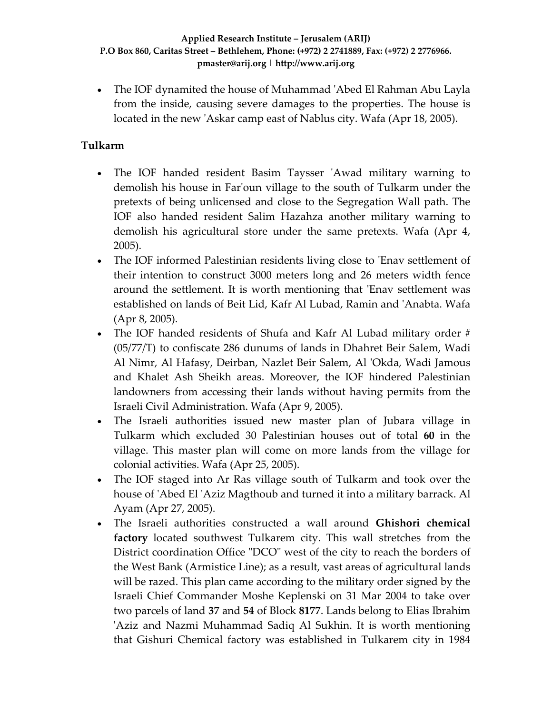• The IOF dynamited the house of Muhammad 'Abed El Rahman Abu Layla from the inside, causing severe damages to the properties. The house is located in the new 'Askar camp east of Nablus city. Wafa (Apr 18, 2005).

# **Tulkarm**

- The IOF handed resident Basim Taysser 'Awad military warning to demolish his house in Farʹoun village to the south of Tulkarm under the pretexts of being unlicensed and close to the Segregation Wall path. The IOF also handed resident Salim Hazahza another military warning to demolish his agricultural store under the same pretexts. Wafa (Apr 4, 2005).
- The IOF informed Palestinian residents living close to 'Enav settlement of their intention to construct 3000 meters long and 26 meters width fence around the settlement. It is worth mentioning that 'Enav settlement was established on lands of Beit Lid, Kafr Al Lubad, Ramin and ʹAnabta. Wafa (Apr 8, 2005).
- The IOF handed residents of Shufa and Kafr Al Lubad military order # (05/77/T) to confiscate 286 dunums of lands in Dhahret Beir Salem, Wadi Al Nimr, Al Hafasy, Deirban, Nazlet Beir Salem, Al ʹOkda, Wadi Jamous and Khalet Ash Sheikh areas. Moreover, the IOF hindered Palestinian landowners from accessing their lands without having permits from the Israeli Civil Administration. Wafa (Apr 9, 2005).
- The Israeli authorities issued new master plan of Jubara village in Tulkarm which excluded 30 Palestinian houses out of total **60** in the village. This master plan will come on more lands from the village for colonial activities. Wafa (Apr 25, 2005).
- The IOF staged into Ar Ras village south of Tulkarm and took over the house of 'Abed El 'Aziz Magthoub and turned it into a military barrack. Al Ayam (Apr 27, 2005).
- The Israeli authorities constructed a wall around **Ghishori chemical factory** located southwest Tulkarem city. This wall stretches from the District coordination Office "DCO" west of the city to reach the borders of the West Bank (Armistice Line); as a result, vast areas of agricultural lands will be razed. This plan came according to the military order signed by the Israeli Chief Commander Moshe Keplenski on 31 Mar 2004 to take over two parcels of land **37** and **54** of Block **8177**. Lands belong to Elias Ibrahim ʹAziz and Nazmi Muhammad Sadiq Al Sukhin. It is worth mentioning that Gishuri Chemical factory was established in Tulkarem city in 1984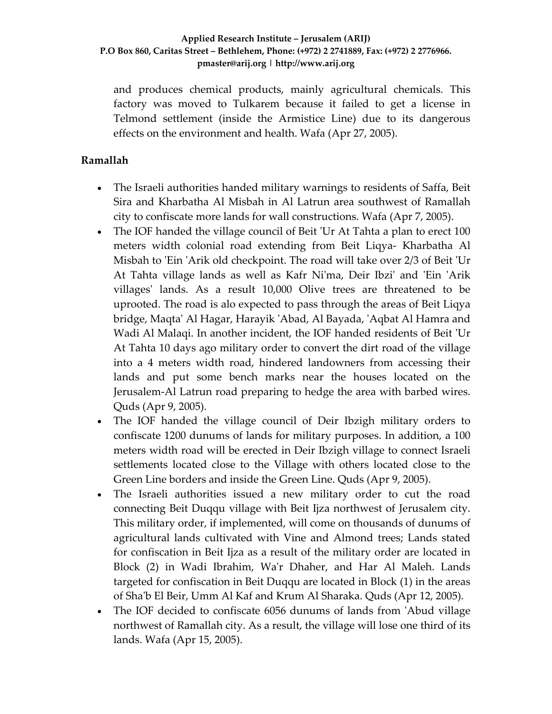and produces chemical products, mainly agricultural chemicals. This factory was moved to Tulkarem because it failed to get a license in Telmond settlement (inside the Armistice Line) due to its dangerous effects on the environment and health. Wafa (Apr 27, 2005).

## **Ramallah**

- The Israeli authorities handed military warnings to residents of Saffa, Beit Sira and Kharbatha Al Misbah in Al Latrun area southwest of Ramallah city to confiscate more lands for wall constructions. Wafa (Apr 7, 2005).
- The IOF handed the village council of Beit 'Ur At Tahta a plan to erect 100 meters width colonial road extending from Beit Liqya‐ Kharbatha Al Misbah to 'Ein 'Arik old checkpoint. The road will take over 2/3 of Beit 'Ur At Tahta village lands as well as Kafr Niʹma, Deir Ibziʹ and ʹEin ʹArik villages' lands. As a result 10,000 Olive trees are threatened to be uprooted. The road is alo expected to pass through the areas of Beit Liqya bridge, Maqtaʹ Al Hagar, Harayik ʹAbad, Al Bayada, ʹAqbat Al Hamra and Wadi Al Malaqi. In another incident, the IOF handed residents of Beit ʹUr At Tahta 10 days ago military order to convert the dirt road of the village into a 4 meters width road, hindered landowners from accessing their lands and put some bench marks near the houses located on the Jerusalem‐Al Latrun road preparing to hedge the area with barbed wires. Quds (Apr 9, 2005).
- The IOF handed the village council of Deir Ibzigh military orders to confiscate 1200 dunums of lands for military purposes. In addition, a 100 meters width road will be erected in Deir Ibzigh village to connect Israeli settlements located close to the Village with others located close to the Green Line borders and inside the Green Line. Quds (Apr 9, 2005).
- The Israeli authorities issued a new military order to cut the road connecting Beit Duqqu village with Beit Ijza northwest of Jerusalem city. This military order, if implemented, will come on thousands of dunums of agricultural lands cultivated with Vine and Almond trees; Lands stated for confiscation in Beit Ijza as a result of the military order are located in Block (2) in Wadi Ibrahim, Waʹr Dhaher, and Har Al Maleh. Lands targeted for confiscation in Beit Duqqu are located in Block (1) in the areas of Shaʹb El Beir, Umm Al Kaf and Krum Al Sharaka. Quds (Apr 12, 2005).
- The IOF decided to confiscate 6056 dunums of lands from 'Abud village northwest of Ramallah city. As a result, the village will lose one third of its lands. Wafa (Apr 15, 2005).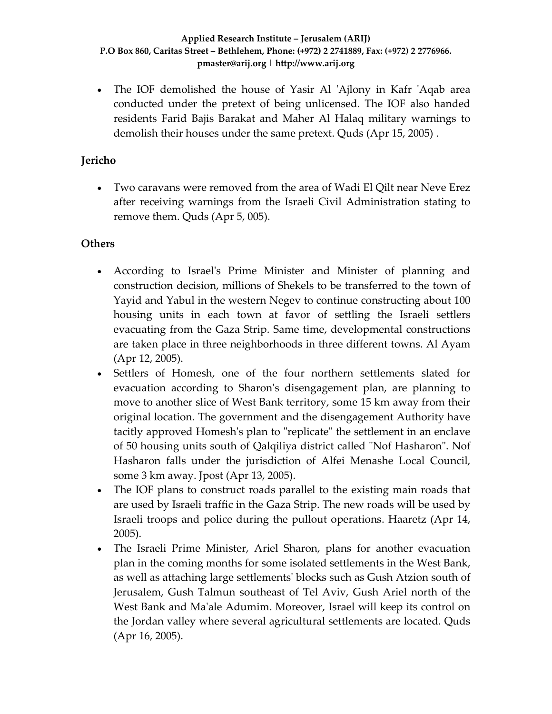• The IOF demolished the house of Yasir Al 'Ajlony in Kafr 'Aqab area conducted under the pretext of being unlicensed. The IOF also handed residents Farid Bajis Barakat and Maher Al Halaq military warnings to demolish their houses under the same pretext. Quds (Apr 15, 2005) .

## **Jericho**

• Two caravans were removed from the area of Wadi El Qilt near Neve Erez after receiving warnings from the Israeli Civil Administration stating to remove them. Quds (Apr 5, 005).

## **Others**

- According to Israel's Prime Minister and Minister of planning and construction decision, millions of Shekels to be transferred to the town of Yayid and Yabul in the western Negev to continue constructing about 100 housing units in each town at favor of settling the Israeli settlers evacuating from the Gaza Strip. Same time, developmental constructions are taken place in three neighborhoods in three different towns. Al Ayam (Apr 12, 2005).
- Settlers of Homesh, one of the four northern settlements slated for evacuation according to Sharon's disengagement plan, are planning to move to another slice of West Bank territory, some 15 km away from their original location. The government and the disengagement Authority have tacitly approved Homesh's plan to "replicate" the settlement in an enclave of 50 housing units south of Qalqiliya district called "Nof Hasharon". Nof Hasharon falls under the jurisdiction of Alfei Menashe Local Council, some 3 km away. Jpost (Apr 13, 2005).
- The IOF plans to construct roads parallel to the existing main roads that are used by Israeli traffic in the Gaza Strip. The new roads will be used by Israeli troops and police during the pullout operations. Haaretz (Apr 14, 2005).
- The Israeli Prime Minister, Ariel Sharon, plans for another evacuation plan in the coming months for some isolated settlements in the West Bank, as well as attaching large settlementsʹ blocks such as Gush Atzion south of Jerusalem, Gush Talmun southeast of Tel Aviv, Gush Ariel north of the West Bank and Maʹale Adumim. Moreover, Israel will keep its control on the Jordan valley where several agricultural settlements are located. Quds (Apr 16, 2005).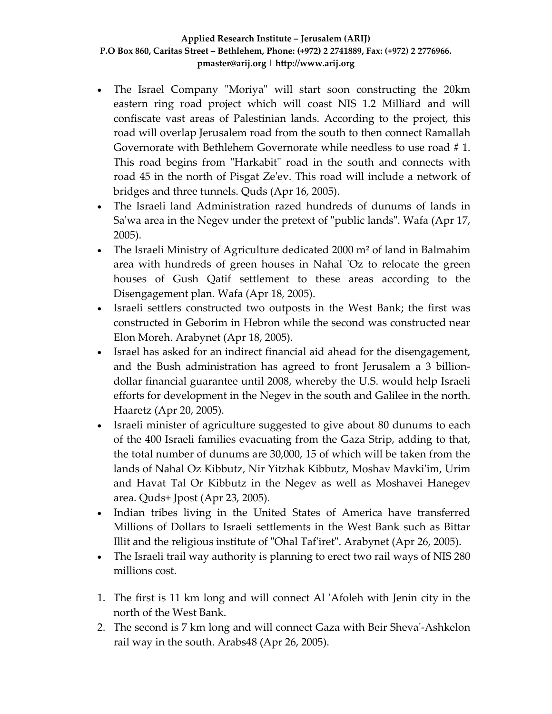- The Israel Company "Moriya" will start soon constructing the 20km eastern ring road project which will coast NIS 1.2 Milliard and will confiscate vast areas of Palestinian lands. According to the project, this road will overlap Jerusalem road from the south to then connect Ramallah Governorate with Bethlehem Governorate while needless to use road # 1. This road begins from "Harkabit" road in the south and connects with road 45 in the north of Pisgat Zeʹev. This road will include a network of bridges and three tunnels. Quds (Apr 16, 2005).
- The Israeli land Administration razed hundreds of dunums of lands in Sa'wa area in the Negev under the pretext of "public lands". Wafa (Apr 17, 2005).
- The Israeli Ministry of Agriculture dedicated 2000 m<sup>2</sup> of land in Balmahim area with hundreds of green houses in Nahal 'Oz to relocate the green houses of Gush Qatif settlement to these areas according to the Disengagement plan. Wafa (Apr 18, 2005).
- Israeli settlers constructed two outposts in the West Bank; the first was constructed in Geborim in Hebron while the second was constructed near Elon Moreh. Arabynet (Apr 18, 2005).
- Israel has asked for an indirect financial aid ahead for the disengagement, and the Bush administration has agreed to front Jerusalem a 3 billion‐ dollar financial guarantee until 2008, whereby the U.S. would help Israeli efforts for development in the Negev in the south and Galilee in the north. Haaretz (Apr 20, 2005).
- Israeli minister of agriculture suggested to give about 80 dunums to each of the 400 Israeli families evacuating from the Gaza Strip, adding to that, the total number of dunums are 30,000, 15 of which will be taken from the lands of Nahal Oz Kibbutz, Nir Yitzhak Kibbutz, Moshav Mavkiʹim, Urim and Havat Tal Or Kibbutz in the Negev as well as Moshavei Hanegev area. Quds+ Jpost (Apr 23, 2005).
- Indian tribes living in the United States of America have transferred Millions of Dollars to Israeli settlements in the West Bank such as Bittar Illit and the religious institute of "Ohal Taf'iret". Arabynet (Apr 26, 2005).
- The Israeli trail way authority is planning to erect two rail ways of NIS 280 millions cost.
- 1. The first is 11 km long and will connect Al ʹAfoleh with Jenin city in the north of the West Bank.
- 2. The second is 7 km long and will connect Gaza with Beir Shevaʹ‐Ashkelon rail way in the south. Arabs48 (Apr 26, 2005).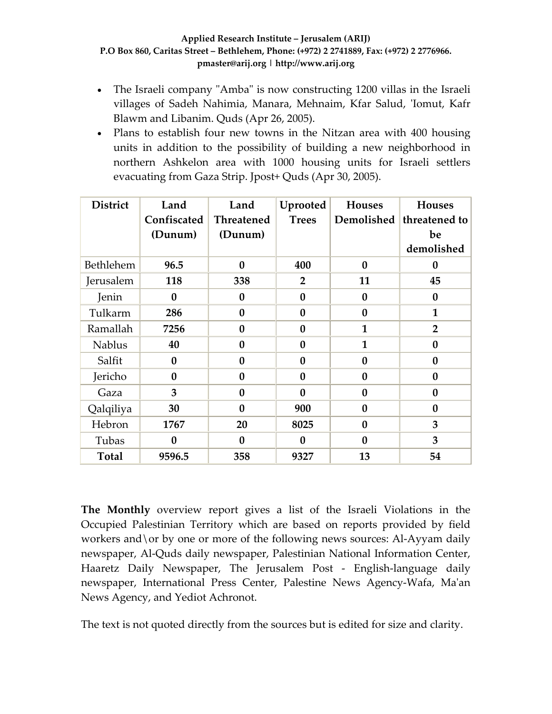- The Israeli company "Amba" is now constructing 1200 villas in the Israeli villages of Sadeh Nahimia, Manara, Mehnaim, Kfar Salud, 'Iomut, Kafr Blawm and Libanim. Quds (Apr 26, 2005).
- Plans to establish four new towns in the Nitzan area with 400 housing units in addition to the possibility of building a new neighborhood in northern Ashkelon area with 1000 housing units for Israeli settlers evacuating from Gaza Strip. Jpost+ Quds (Apr 30, 2005).

| <b>District</b>  | Land             | Land              | Uprooted       | <b>Houses</b>    | <b>Houses</b>    |
|------------------|------------------|-------------------|----------------|------------------|------------------|
|                  | Confiscated      | <b>Threatened</b> | <b>Trees</b>   | Demolished       | threatened to    |
|                  | (Dunum)          | (Dunum)           |                |                  | be               |
|                  |                  |                   |                |                  | demolished       |
| <b>Bethlehem</b> | 96.5             | $\bf{0}$          | 400            | $\bf{0}$         | $\boldsymbol{0}$ |
| Jerusalem        | 118              | 338               | $\overline{2}$ | 11               | 45               |
| Jenin            | $\bf{0}$         | $\bf{0}$          | $\bf{0}$       | $\bf{0}$         | $\bf{0}$         |
| Tulkarm          | 286              | $\bf{0}$          | $\bf{0}$       | $\boldsymbol{0}$ | $\mathbf{1}$     |
| Ramallah         | 7256             | $\bf{0}$          | $\bf{0}$       | $\mathbf{1}$     | $\overline{2}$   |
| <b>Nablus</b>    | 40               | $\bf{0}$          | $\bf{0}$       | $\mathbf{1}$     | $\boldsymbol{0}$ |
| Salfit           | $\mathbf{0}$     | $\bf{0}$          | $\mathbf{0}$   | $\bf{0}$         | $\bf{0}$         |
| Jericho          | $\bf{0}$         | $\bf{0}$          | $\bf{0}$       | $\bf{0}$         | $\bf{0}$         |
| Gaza             | 3                | $\bf{0}$          | $\mathbf{0}$   | $\bf{0}$         | $\bf{0}$         |
| Qalqiliya        | 30               | $\bf{0}$          | 900            | $\bf{0}$         | $\boldsymbol{0}$ |
| Hebron           | 1767             | 20                | 8025           | $\bf{0}$         | 3                |
| Tubas            | $\boldsymbol{0}$ | $\mathbf{0}$      | $\bf{0}$       | $\boldsymbol{0}$ | 3                |
| <b>Total</b>     | 9596.5           | 358               | 9327           | 13               | 54               |

**The Monthly** overview report gives a list of the Israeli Violations in the Occupied Palestinian Territory which are based on reports provided by field workers and\or by one or more of the following news sources: Al‐Ayyam daily newspaper, Al‐Quds daily newspaper, Palestinian National Information Center, Haaretz Daily Newspaper, The Jerusalem Post ‐ English‐language daily newspaper, International Press Center, Palestine News Agency‐Wafa, Maʹan News Agency, and Yediot Achronot.

The text is not quoted directly from the sources but is edited for size and clarity.